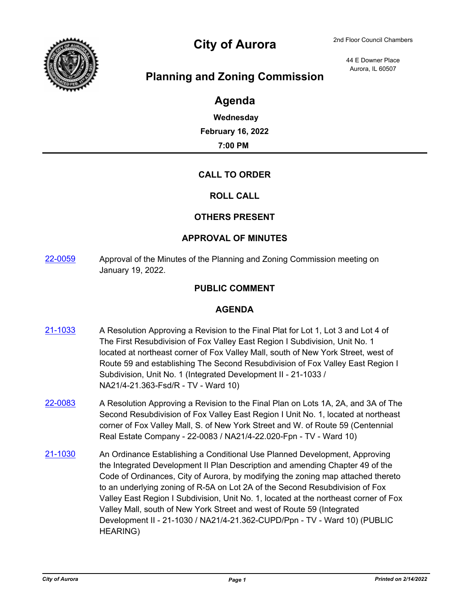

# City of Aurora 2nd Floor Council Chambers

44 E Downer Place Aurora, IL 60507

## **Planning and Zoning Commission**

## **Agenda**

**Wednesday February 16, 2022 7:00 PM**

### **CALL TO ORDER**

#### **ROLL CALL**

#### **OTHERS PRESENT**

#### **APPROVAL OF MINUTES**

[22-0059](http://aurora-il.legistar.com/gateway.aspx?m=l&id=/matter.aspx?key=11148) Approval of the Minutes of the Planning and Zoning Commission meeting on January 19, 2022.

#### **PUBLIC COMMENT**

#### **AGENDA**

- [21-1033](http://aurora-il.legistar.com/gateway.aspx?m=l&id=/matter.aspx?key=11050) A Resolution Approving a Revision to the Final Plat for Lot 1, Lot 3 and Lot 4 of The First Resubdivision of Fox Valley East Region I Subdivision, Unit No. 1 located at northeast corner of Fox Valley Mall, south of New York Street, west of Route 59 and establishing The Second Resubdivision of Fox Valley East Region I Subdivision, Unit No. 1 (Integrated Development II - 21-1033 / NA21/4-21.363-Fsd/R - TV - Ward 10)
- $22\n-0083$  A Resolution Approving a Revision to the Final Plan on Lots 1A, 2A, and 3A of The Second Resubdivision of Fox Valley East Region I Unit No. 1, located at northeast corner of Fox Valley Mall, S. of New York Street and W. of Route 59 (Centennial Real Estate Company - 22-0083 / NA21/4-22.020-Fpn - TV - Ward 10)
- [21-1030](http://aurora-il.legistar.com/gateway.aspx?m=l&id=/matter.aspx?key=11047) An Ordinance Establishing a Conditional Use Planned Development, Approving the Integrated Development II Plan Description and amending Chapter 49 of the Code of Ordinances, City of Aurora, by modifying the zoning map attached thereto to an underlying zoning of R-5A on Lot 2A of the Second Resubdivision of Fox Valley East Region I Subdivision, Unit No. 1, located at the northeast corner of Fox Valley Mall, south of New York Street and west of Route 59 (Integrated Development II - 21-1030 / NA21/4-21.362-CUPD/Ppn - TV - Ward 10) (PUBLIC HEARING)